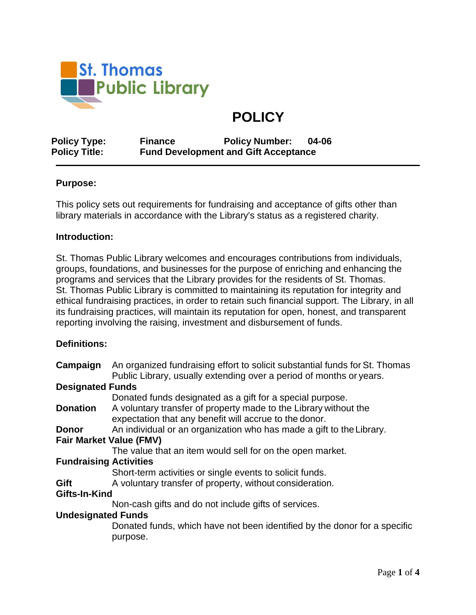

# **POLICY**

**Policy Type: Finance Policy Number: 04-06 Policy Title: Fund Development and Gift Acceptance**

### **Purpose:**

This policy sets out requirements for fundraising and acceptance of gifts other than library materials in accordance with the Library's status as a registered charity.

#### **Introduction:**

St. Thomas Public Library welcomes and encourages contributions from individuals, groups, foundations, and businesses for the purpose of enriching and enhancing the programs and services that the Library provides for the residents of St. Thomas. St. Thomas Public Library is committed to maintaining its reputation for integrity and ethical fundraising practices, in order to retain such financial support. The Library, in all its fundraising practices, will maintain its reputation for open, honest, and transparent reporting involving the raising, investment and disbursement of funds.

#### **Definitions:**

| Campaign                       | An organized fundraising effort to solicit substantial funds for St. Thomas<br>Public Library, usually extending over a period of months or years. |
|--------------------------------|----------------------------------------------------------------------------------------------------------------------------------------------------|
| <b>Designated Funds</b>        |                                                                                                                                                    |
|                                | Donated funds designated as a gift for a special purpose.                                                                                          |
| <b>Donation</b>                | A voluntary transfer of property made to the Library without the<br>expectation that any benefit will accrue to the donor.                         |
| Donor                          | An individual or an organization who has made a gift to the Library.                                                                               |
| <b>Fair Market Value (FMV)</b> |                                                                                                                                                    |
|                                | The value that an item would sell for on the open market.                                                                                          |
| <b>Fundraising Activities</b>  |                                                                                                                                                    |
|                                | Short-term activities or single events to solicit funds.                                                                                           |
| Gift                           | A voluntary transfer of property, without consideration.                                                                                           |
| Gifts-In-Kind                  |                                                                                                                                                    |
|                                | Non-cash gifts and do not include gifts of services.                                                                                               |
| <b>Undesignated Funds</b>      |                                                                                                                                                    |
|                                | Donated funds, which have not been identified by the donor for a specific<br>purpose.                                                              |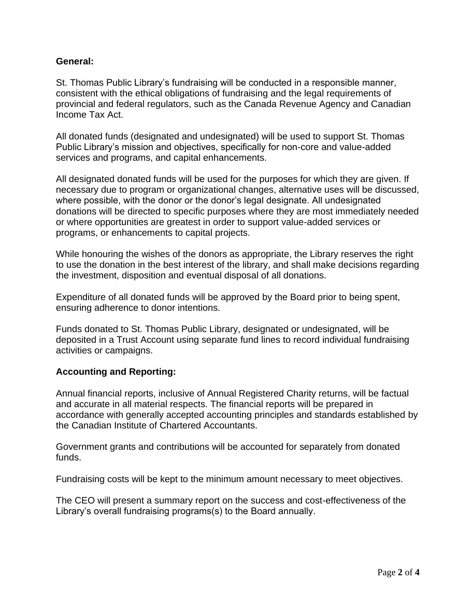## **General:**

St. Thomas Public Library's fundraising will be conducted in a responsible manner, consistent with the ethical obligations of fundraising and the legal requirements of provincial and federal regulators, such as the Canada Revenue Agency and Canadian Income Tax Act.

All donated funds (designated and undesignated) will be used to support St. Thomas Public Library's mission and objectives, specifically for non-core and value-added services and programs, and capital enhancements.

All designated donated funds will be used for the purposes for which they are given. If necessary due to program or organizational changes, alternative uses will be discussed, where possible, with the donor or the donor's legal designate. All undesignated donations will be directed to specific purposes where they are most immediately needed or where opportunities are greatest in order to support value-added services or programs, or enhancements to capital projects.

While honouring the wishes of the donors as appropriate, the Library reserves the right to use the donation in the best interest of the library, and shall make decisions regarding the investment, disposition and eventual disposal of all donations.

Expenditure of all donated funds will be approved by the Board prior to being spent, ensuring adherence to donor intentions.

Funds donated to St. Thomas Public Library, designated or undesignated, will be deposited in a Trust Account using separate fund lines to record individual fundraising activities or campaigns.

## **Accounting and Reporting:**

Annual financial reports, inclusive of Annual Registered Charity returns, will be factual and accurate in all material respects. The financial reports will be prepared in accordance with generally accepted accounting principles and standards established by the Canadian Institute of Chartered Accountants.

Government grants and contributions will be accounted for separately from donated funds.

Fundraising costs will be kept to the minimum amount necessary to meet objectives.

The CEO will present a summary report on the success and cost-effectiveness of the Library's overall fundraising programs(s) to the Board annually.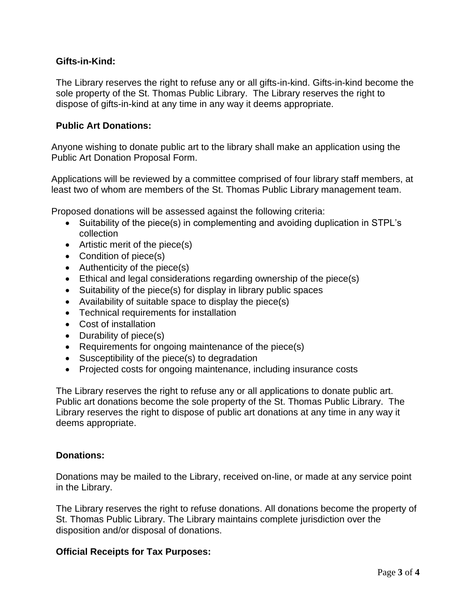## **Gifts-in-Kind:**

The Library reserves the right to refuse any or all gifts-in-kind. Gifts-in-kind become the sole property of the St. Thomas Public Library. The Library reserves the right to dispose of gifts-in-kind at any time in any way it deems appropriate.

## **Public Art Donations:**

Anyone wishing to donate public art to the library shall make an application using the Public Art Donation Proposal Form.

Applications will be reviewed by a committee comprised of four library staff members, at least two of whom are members of the St. Thomas Public Library management team.

Proposed donations will be assessed against the following criteria:

- Suitability of the piece(s) in complementing and avoiding duplication in STPL's collection
- Artistic merit of the piece(s)
- Condition of piece(s)
- Authenticity of the piece(s)
- Ethical and legal considerations regarding ownership of the piece(s)
- Suitability of the piece(s) for display in library public spaces
- Availability of suitable space to display the piece(s)
- Technical requirements for installation
- Cost of installation
- Durability of piece(s)
- Requirements for ongoing maintenance of the piece(s)
- Susceptibility of the piece(s) to degradation
- Projected costs for ongoing maintenance, including insurance costs

The Library reserves the right to refuse any or all applications to donate public art. Public art donations become the sole property of the St. Thomas Public Library. The Library reserves the right to dispose of public art donations at any time in any way it deems appropriate.

## **Donations:**

Donations may be mailed to the Library, received on-line, or made at any service point in the Library.

The Library reserves the right to refuse donations. All donations become the property of St. Thomas Public Library. The Library maintains complete jurisdiction over the disposition and/or disposal of donations.

## **Official Receipts for Tax Purposes:**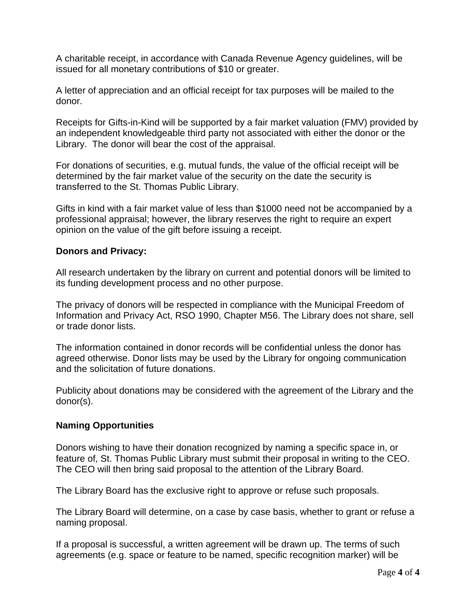A charitable receipt, in accordance with Canada Revenue Agency guidelines, will be issued for all monetary contributions of \$10 or greater.

A letter of appreciation and an official receipt for tax purposes will be mailed to the donor.

Receipts for Gifts-in-Kind will be supported by a fair market valuation (FMV) provided by an independent knowledgeable third party not associated with either the donor or the Library. The donor will bear the cost of the appraisal.

For donations of securities, e.g. mutual funds, the value of the official receipt will be determined by the fair market value of the security on the date the security is transferred to the St. Thomas Public Library.

Gifts in kind with a fair market value of less than \$1000 need not be accompanied by a professional appraisal; however, the library reserves the right to require an expert opinion on the value of the gift before issuing a receipt.

### **Donors and Privacy:**

All research undertaken by the library on current and potential donors will be limited to its funding development process and no other purpose.

The privacy of donors will be respected in compliance with the Municipal Freedom of Information and Privacy Act, RSO 1990, Chapter M56. The Library does not share, sell or trade donor lists.

The information contained in donor records will be confidential unless the donor has agreed otherwise. Donor lists may be used by the Library for ongoing communication and the solicitation of future donations.

Publicity about donations may be considered with the agreement of the Library and the donor(s).

#### **Naming Opportunities**

Donors wishing to have their donation recognized by naming a specific space in, or feature of, St. Thomas Public Library must submit their proposal in writing to the CEO. The CEO will then bring said proposal to the attention of the Library Board.

The Library Board has the exclusive right to approve or refuse such proposals.

The Library Board will determine, on a case by case basis, whether to grant or refuse a naming proposal.

If a proposal is successful, a written agreement will be drawn up. The terms of such agreements (e.g. space or feature to be named, specific recognition marker) will be